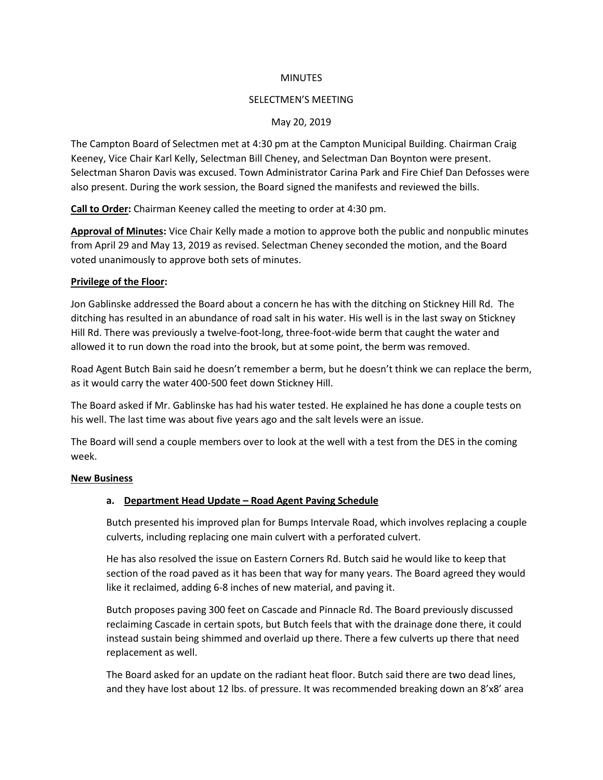### **MINUTES**

#### SELECTMEN'S MEETING

### May 20, 2019

The Campton Board of Selectmen met at 4:30 pm at the Campton Municipal Building. Chairman Craig Keeney, Vice Chair Karl Kelly, Selectman Bill Cheney, and Selectman Dan Boynton were present. Selectman Sharon Davis was excused. Town Administrator Carina Park and Fire Chief Dan Defosses were also present. During the work session, the Board signed the manifests and reviewed the bills.

**Call to Order:** Chairman Keeney called the meeting to order at 4:30 pm.

**Approval of Minutes:** Vice Chair Kelly made a motion to approve both the public and nonpublic minutes from April 29 and May 13, 2019 as revised. Selectman Cheney seconded the motion, and the Board voted unanimously to approve both sets of minutes.

### **Privilege of the Floor:**

Jon Gablinske addressed the Board about a concern he has with the ditching on Stickney Hill Rd. The ditching has resulted in an abundance of road salt in his water. His well is in the last sway on Stickney Hill Rd. There was previously a twelve-foot-long, three-foot-wide berm that caught the water and allowed it to run down the road into the brook, but at some point, the berm was removed.

Road Agent Butch Bain said he doesn't remember a berm, but he doesn't think we can replace the berm, as it would carry the water 400-500 feet down Stickney Hill.

The Board asked if Mr. Gablinske has had his water tested. He explained he has done a couple tests on his well. The last time was about five years ago and the salt levels were an issue.

The Board will send a couple members over to look at the well with a test from the DES in the coming week.

#### **New Business**

### **a. Department Head Update – Road Agent Paving Schedule**

Butch presented his improved plan for Bumps Intervale Road, which involves replacing a couple culverts, including replacing one main culvert with a perforated culvert.

He has also resolved the issue on Eastern Corners Rd. Butch said he would like to keep that section of the road paved as it has been that way for many years. The Board agreed they would like it reclaimed, adding 6-8 inches of new material, and paving it.

Butch proposes paving 300 feet on Cascade and Pinnacle Rd. The Board previously discussed reclaiming Cascade in certain spots, but Butch feels that with the drainage done there, it could instead sustain being shimmed and overlaid up there. There a few culverts up there that need replacement as well.

The Board asked for an update on the radiant heat floor. Butch said there are two dead lines, and they have lost about 12 lbs. of pressure. It was recommended breaking down an 8'x8' area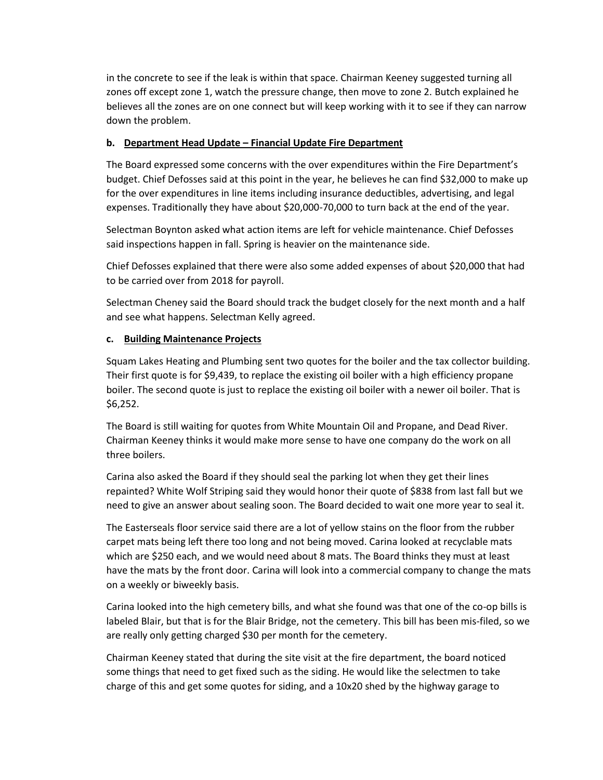in the concrete to see if the leak is within that space. Chairman Keeney suggested turning all zones off except zone 1, watch the pressure change, then move to zone 2. Butch explained he believes all the zones are on one connect but will keep working with it to see if they can narrow down the problem.

# **b. Department Head Update – Financial Update Fire Department**

The Board expressed some concerns with the over expenditures within the Fire Department's budget. Chief Defosses said at this point in the year, he believes he can find \$32,000 to make up for the over expenditures in line items including insurance deductibles, advertising, and legal expenses. Traditionally they have about \$20,000-70,000 to turn back at the end of the year.

Selectman Boynton asked what action items are left for vehicle maintenance. Chief Defosses said inspections happen in fall. Spring is heavier on the maintenance side.

Chief Defosses explained that there were also some added expenses of about \$20,000 that had to be carried over from 2018 for payroll.

Selectman Cheney said the Board should track the budget closely for the next month and a half and see what happens. Selectman Kelly agreed.

# **c. Building Maintenance Projects**

Squam Lakes Heating and Plumbing sent two quotes for the boiler and the tax collector building. Their first quote is for \$9,439, to replace the existing oil boiler with a high efficiency propane boiler. The second quote is just to replace the existing oil boiler with a newer oil boiler. That is \$6,252.

The Board is still waiting for quotes from White Mountain Oil and Propane, and Dead River. Chairman Keeney thinks it would make more sense to have one company do the work on all three boilers.

Carina also asked the Board if they should seal the parking lot when they get their lines repainted? White Wolf Striping said they would honor their quote of \$838 from last fall but we need to give an answer about sealing soon. The Board decided to wait one more year to seal it.

The Easterseals floor service said there are a lot of yellow stains on the floor from the rubber carpet mats being left there too long and not being moved. Carina looked at recyclable mats which are \$250 each, and we would need about 8 mats. The Board thinks they must at least have the mats by the front door. Carina will look into a commercial company to change the mats on a weekly or biweekly basis.

Carina looked into the high cemetery bills, and what she found was that one of the co-op bills is labeled Blair, but that is for the Blair Bridge, not the cemetery. This bill has been mis-filed, so we are really only getting charged \$30 per month for the cemetery.

Chairman Keeney stated that during the site visit at the fire department, the board noticed some things that need to get fixed such as the siding. He would like the selectmen to take charge of this and get some quotes for siding, and a 10x20 shed by the highway garage to